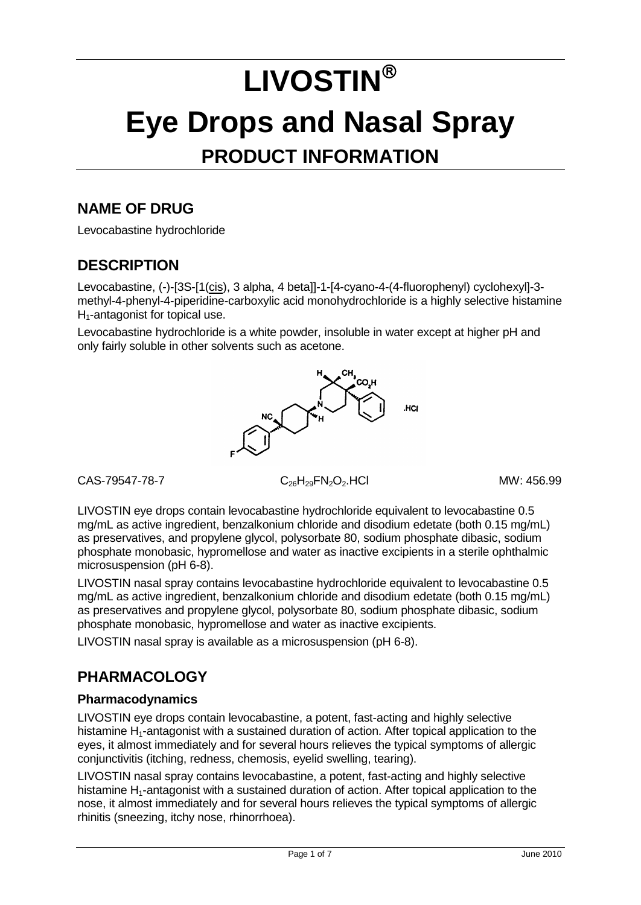# **LIVOSTIN Eye Drops and Nasal Spray PRODUCT INFORMATION**

## **NAME OF DRUG**

Levocabastine hydrochloride

## **DESCRIPTION**

Levocabastine, (-)-[3S-[1(cis), 3 alpha, 4 beta]]-1-[4-cyano-4-(4-fluorophenyl) cyclohexyl]-3methyl-4-phenyl-4-piperidine-carboxylic acid monohydrochloride is a highly selective histamine H<sub>1</sub>-antagonist for topical use.

Levocabastine hydrochloride is a white powder, insoluble in water except at higher pH and only fairly soluble in other solvents such as acetone.



 $C_{26}H_{29}FN_{2}O_{2}$ .HCl MW: 456.99

LIVOSTIN eye drops contain levocabastine hydrochloride equivalent to levocabastine 0.5 mg/mL as active ingredient, benzalkonium chloride and disodium edetate (both 0.15 mg/mL) as preservatives, and propylene glycol, polysorbate 80, sodium phosphate dibasic, sodium phosphate monobasic, hypromellose and water as inactive excipients in a sterile ophthalmic microsuspension (pH 6-8).

LIVOSTIN nasal spray contains levocabastine hydrochloride equivalent to levocabastine 0.5 mg/mL as active ingredient, benzalkonium chloride and disodium edetate (both 0.15 mg/mL) as preservatives and propylene glycol, polysorbate 80, sodium phosphate dibasic, sodium phosphate monobasic, hypromellose and water as inactive excipients.

LIVOSTIN nasal spray is available as a microsuspension (pH 6-8).

# **PHARMACOLOGY**

## **Pharmacodynamics**

LIVOSTIN eye drops contain levocabastine, a potent, fast-acting and highly selective histamine  $H_1$ -antagonist with a sustained duration of action. After topical application to the eyes, it almost immediately and for several hours relieves the typical symptoms of allergic conjunctivitis (itching, redness, chemosis, eyelid swelling, tearing).

LIVOSTIN nasal spray contains levocabastine, a potent, fast-acting and highly selective histamine  $H_1$ -antagonist with a sustained duration of action. After topical application to the nose, it almost immediately and for several hours relieves the typical symptoms of allergic rhinitis (sneezing, itchy nose, rhinorrhoea).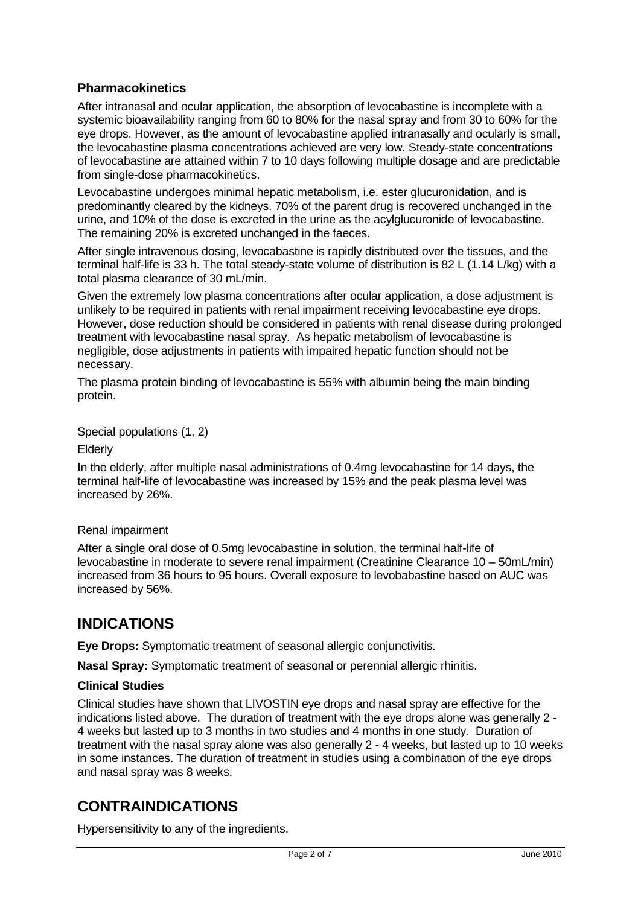## **Pharmacokinetics**

After intranasal and ocular application, the absorption of levocabastine is incomplete with a systemic bioavailability ranging from 60 to 80% for the nasal spray and from 30 to 60% for the eye drops. However, as the amount of levocabastine applied intranasally and ocularly is small, the levocabastine plasma concentrations achieved are very low. Steady-state concentrations of levocabastine are attained within 7 to 10 days following multiple dosage and are predictable from single-dose pharmacokinetics.

Levocabastine undergoes minimal hepatic metabolism, i.e. ester glucuronidation, and is predominantly cleared by the kidneys. 70% of the parent drug is recovered unchanged in the urine, and 10% of the dose is excreted in the urine as the acylglucuronide of levocabastine. The remaining 20% is excreted unchanged in the faeces.

After single intravenous dosing, levocabastine is rapidly distributed over the tissues, and the terminal half-life is 33 h. The total steady-state volume of distribution is 82 L (1.14 L/kg) with a total plasma clearance of 30 mL/min.

Given the extremely low plasma concentrations after ocular application, a dose adjustment is unlikely to be required in patients with renal impairment receiving levocabastine eye drops. However, dose reduction should be considered in patients with renal disease during prolonged treatment with levocabastine nasal spray. As hepatic metabolism of levocabastine is negligible, dose adjustments in patients with impaired hepatic function should not be necessary.

The plasma protein binding of levocabastine is 55% with albumin being the main binding protein.

Special populations (1, 2)

Elderly

In the elderly, after multiple nasal administrations of 0.4mg levocabastine for 14 days, the terminal half-life of levocabastine was increased by 15% and the peak plasma level was increased by 26%.

## Renal impairment

After a single oral dose of 0.5mg levocabastine in solution, the terminal half-life of levocabastine in moderate to severe renal impairment (Creatinine Clearance 10 – 50mL/min) increased from 36 hours to 95 hours. Overall exposure to levobabastine based on AUC was increased by 56%.

## **INDICATIONS**

**Eye Drops:** Symptomatic treatment of seasonal allergic conjunctivitis.

**Nasal Spray:** Symptomatic treatment of seasonal or perennial allergic rhinitis.

## **Clinical Studies**

Clinical studies have shown that LIVOSTIN eye drops and nasal spray are effective for the indications listed above. The duration of treatment with the eye drops alone was generally 2 - 4 weeks but lasted up to 3 months in two studies and 4 months in one study. Duration of treatment with the nasal spray alone was also generally 2 - 4 weeks, but lasted up to 10 weeks in some instances. The duration of treatment in studies using a combination of the eye drops and nasal spray was 8 weeks.

## **CONTRAINDICATIONS**

Hypersensitivity to any of the ingredients.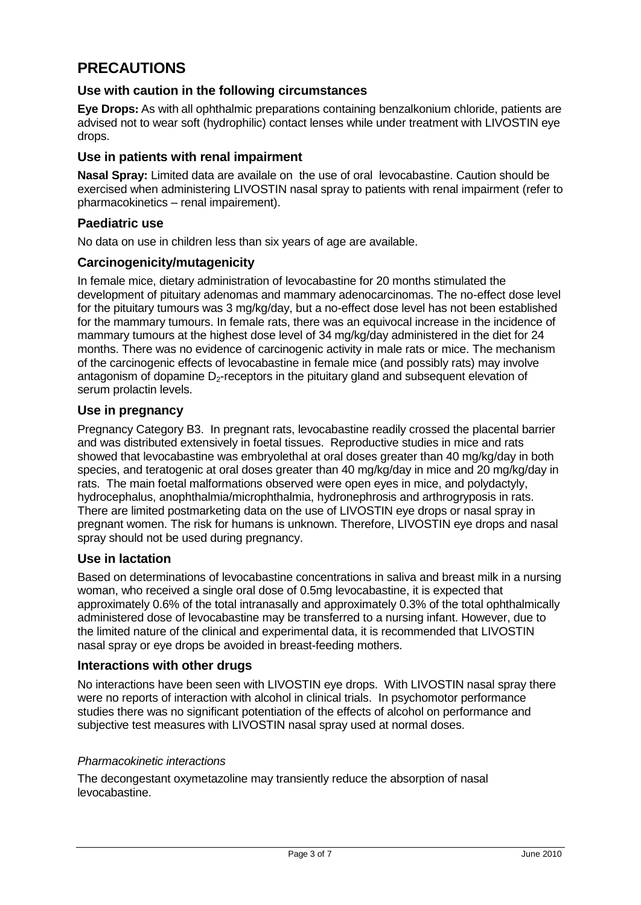# **PRECAUTIONS**

## **Use with caution in the following circumstances**

**Eye Drops:** As with all ophthalmic preparations containing benzalkonium chloride, patients are advised not to wear soft (hydrophilic) contact lenses while under treatment with LIVOSTIN eye drops.

## **Use in patients with renal impairment**

**Nasal Spray:** Limited data are availale on the use of oral levocabastine. Caution should be exercised when administering LIVOSTIN nasal spray to patients with renal impairment (refer to pharmacokinetics – renal impairement).

## **Paediatric use**

No data on use in children less than six years of age are available.

## **Carcinogenicity/mutagenicity**

In female mice, dietary administration of levocabastine for 20 months stimulated the development of pituitary adenomas and mammary adenocarcinomas. The no-effect dose level for the pituitary tumours was 3 mg/kg/day, but a no-effect dose level has not been established for the mammary tumours. In female rats, there was an equivocal increase in the incidence of mammary tumours at the highest dose level of 34 mg/kg/day administered in the diet for 24 months. There was no evidence of carcinogenic activity in male rats or mice. The mechanism of the carcinogenic effects of levocabastine in female mice (and possibly rats) may involve antagonism of dopamine  $D<sub>2</sub>$ -receptors in the pituitary gland and subsequent elevation of serum prolactin levels.

## **Use in pregnancy**

Pregnancy Category B3. In pregnant rats, levocabastine readily crossed the placental barrier and was distributed extensively in foetal tissues. Reproductive studies in mice and rats showed that levocabastine was embryolethal at oral doses greater than 40 mg/kg/day in both species, and teratogenic at oral doses greater than 40 mg/kg/day in mice and 20 mg/kg/day in rats. The main foetal malformations observed were open eyes in mice, and polydactyly, hydrocephalus, anophthalmia/microphthalmia, hydronephrosis and arthrogryposis in rats. There are limited postmarketing data on the use of LIVOSTIN eye drops or nasal spray in pregnant women. The risk for humans is unknown. Therefore, LIVOSTIN eye drops and nasal spray should not be used during pregnancy.

## **Use in lactation**

Based on determinations of levocabastine concentrations in saliva and breast milk in a nursing woman, who received a single oral dose of 0.5mg levocabastine, it is expected that approximately 0.6% of the total intranasally and approximately 0.3% of the total ophthalmically administered dose of levocabastine may be transferred to a nursing infant. However, due to the limited nature of the clinical and experimental data, it is recommended that LIVOSTIN nasal spray or eye drops be avoided in breast-feeding mothers.

## **Interactions with other drugs**

No interactions have been seen with LIVOSTIN eye drops. With LIVOSTIN nasal spray there were no reports of interaction with alcohol in clinical trials. In psychomotor performance studies there was no significant potentiation of the effects of alcohol on performance and subjective test measures with LIVOSTIN nasal spray used at normal doses.

## *Pharmacokinetic interactions*

The decongestant oxymetazoline may transiently reduce the absorption of nasal levocabastine.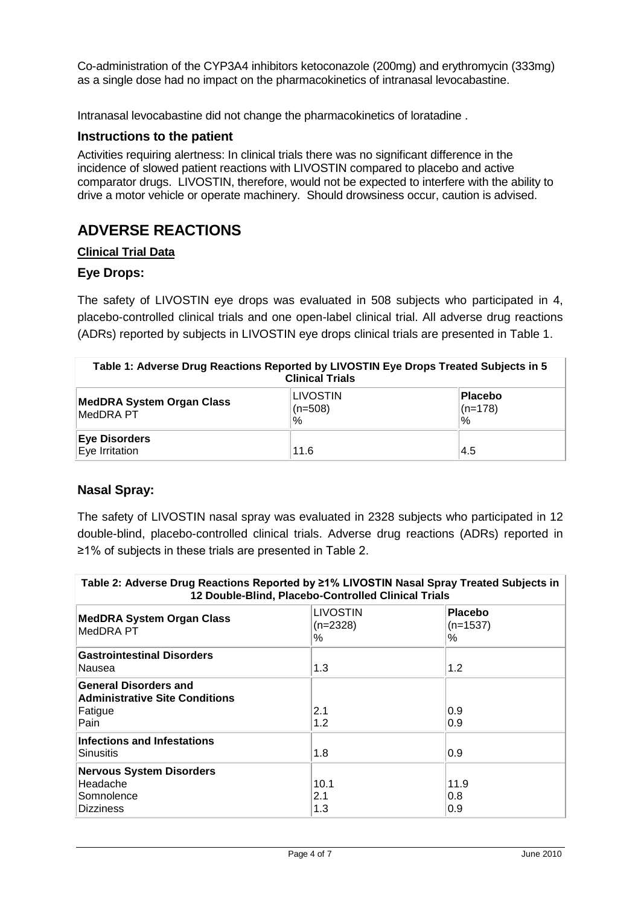Co-administration of the CYP3A4 inhibitors ketoconazole (200mg) and erythromycin (333mg) as a single dose had no impact on the pharmacokinetics of intranasal levocabastine.

Intranasal levocabastine did not change the pharmacokinetics of loratadine .

## **Instructions to the patient**

Activities requiring alertness: In clinical trials there was no significant difference in the incidence of slowed patient reactions with LIVOSTIN compared to placebo and active comparator drugs. LIVOSTIN, therefore, would not be expected to interfere with the ability to drive a motor vehicle or operate machinery. Should drowsiness occur, caution is advised.

## **ADVERSE REACTIONS**

## **Clinical Trial Data**

## **Eye Drops:**

The safety of LIVOSTIN eye drops was evaluated in 508 subjects who participated in 4, placebo-controlled clinical trials and one open-label clinical trial. All adverse drug reactions (ADRs) reported by subjects in LIVOSTIN eye drops clinical trials are presented in Table 1.

| Table 1: Adverse Drug Reactions Reported by LIVOSTIN Eye Drops Treated Subjects in 5<br><b>Clinical Trials</b> |                                      |                              |
|----------------------------------------------------------------------------------------------------------------|--------------------------------------|------------------------------|
| MedDRA System Organ Class<br>MedDRA PT                                                                         | <b>LIVOSTIN</b><br>$(n=508)$<br>$\%$ | Placebo<br>$(n=178)$<br>$\%$ |
| <b>Eye Disorders</b><br>Eye Irritation                                                                         | 11.6                                 | 4.5                          |

## **Nasal Spray:**

The safety of LIVOSTIN nasal spray was evaluated in 2328 subjects who participated in 12 double-blind, placebo-controlled clinical trials. Adverse drug reactions (ADRs) reported in ≥1% of subjects in these trials are presented in Table 2.

| Table 2: Adverse Drug Reactions Reported by ≥1% LIVOSTIN Nasal Spray Treated Subjects in<br>12 Double-Blind, Placebo-Controlled Clinical Trials |                                  |                                   |
|-------------------------------------------------------------------------------------------------------------------------------------------------|----------------------------------|-----------------------------------|
| <b>MedDRA System Organ Class</b><br>MedDRA PT                                                                                                   | <b>LIVOSTIN</b><br>(n=2328)<br>% | <b>Placebo</b><br>$(n=1537)$<br>% |
| <b>Gastrointestinal Disorders</b><br>Nausea                                                                                                     | 1.3                              | 1.2                               |
| <b>General Disorders and</b><br><b>Administrative Site Conditions</b><br>Fatigue<br>Pain                                                        | 2.1<br>1.2                       | 0.9<br>0.9                        |
| <b>Infections and Infestations</b><br>Sinusitis                                                                                                 | 1.8                              | 0.9                               |
| <b>Nervous System Disorders</b><br>Headache<br>Somnolence<br><b>Dizziness</b>                                                                   | 10.1<br>2.1<br>1.3               | 11.9<br>0.8<br>0.9                |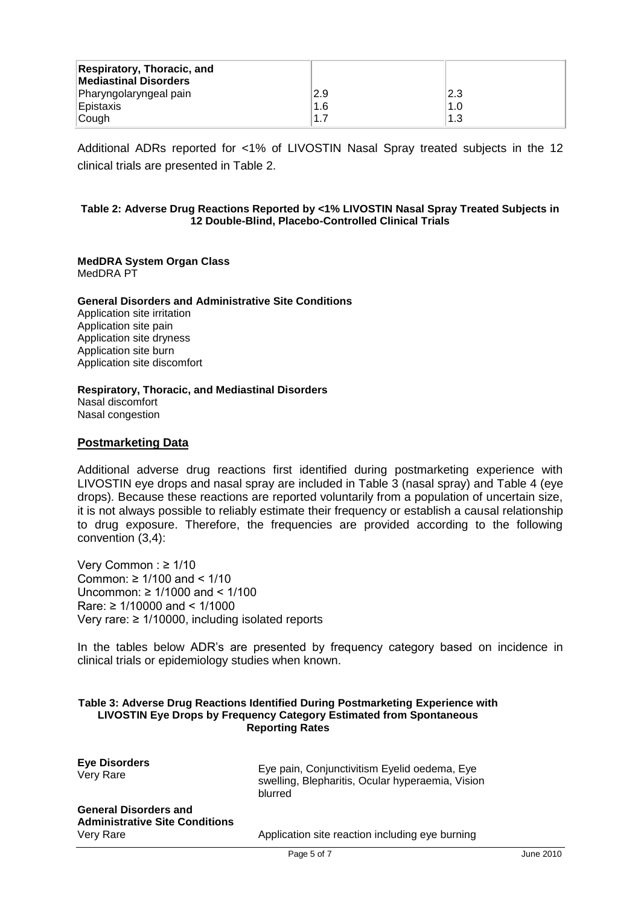| <b>Respiratory, Thoracic, and</b><br><b>Mediastinal Disorders</b><br>Pharyngolaryngeal pain<br>Epistaxis | 2.9<br>1.6 | 2.3<br>1.0 |
|----------------------------------------------------------------------------------------------------------|------------|------------|
| Cough                                                                                                    | .1.7       | 1.3        |
|                                                                                                          |            |            |

Additional ADRs reported for <1% of LIVOSTIN Nasal Spray treated subjects in the 12 clinical trials are presented in Table 2.

#### **Table 2: Adverse Drug Reactions Reported by <1% LIVOSTIN Nasal Spray Treated Subjects in 12 Double-Blind, Placebo-Controlled Clinical Trials**

## **MedDRA System Organ Class**

MedDRA PT

#### **General Disorders and Administrative Site Conditions**

Application site irritation Application site pain Application site dryness Application site burn Application site discomfort

#### **Respiratory, Thoracic, and Mediastinal Disorders**

Nasal discomfort Nasal congestion

#### **Postmarketing Data**

Additional adverse drug reactions first identified during postmarketing experience with LIVOSTIN eye drops and nasal spray are included in Table 3 (nasal spray) and Table 4 (eye drops). Because these reactions are reported voluntarily from a population of uncertain size, it is not always possible to reliably estimate their frequency or establish a causal relationship to drug exposure. Therefore, the frequencies are provided according to the following convention (3,4):

Very Common : ≥ 1/10 Common: ≥ 1/100 and < 1/10 Uncommon: ≥ 1/1000 and < 1/100 Rare: ≥ 1/10000 and < 1/1000 Very rare: ≥ 1/10000, including isolated reports

In the tables below ADR's are presented by frequency category based on incidence in clinical trials or epidemiology studies when known.

#### **Table 3: Adverse Drug Reactions Identified During Postmarketing Experience with LIVOSTIN Eye Drops by Frequency Category Estimated from Spontaneous Reporting Rates**

| <b>Eye Disorders</b><br>Very Rare                                     | Eye pain, Conjunctivitism Eyelid oedema, Eye<br>swelling, Blepharitis, Ocular hyperaemia, Vision<br>blurred |
|-----------------------------------------------------------------------|-------------------------------------------------------------------------------------------------------------|
| <b>General Disorders and</b><br><b>Administrative Site Conditions</b> |                                                                                                             |

Very Rare Application site reaction including eye burning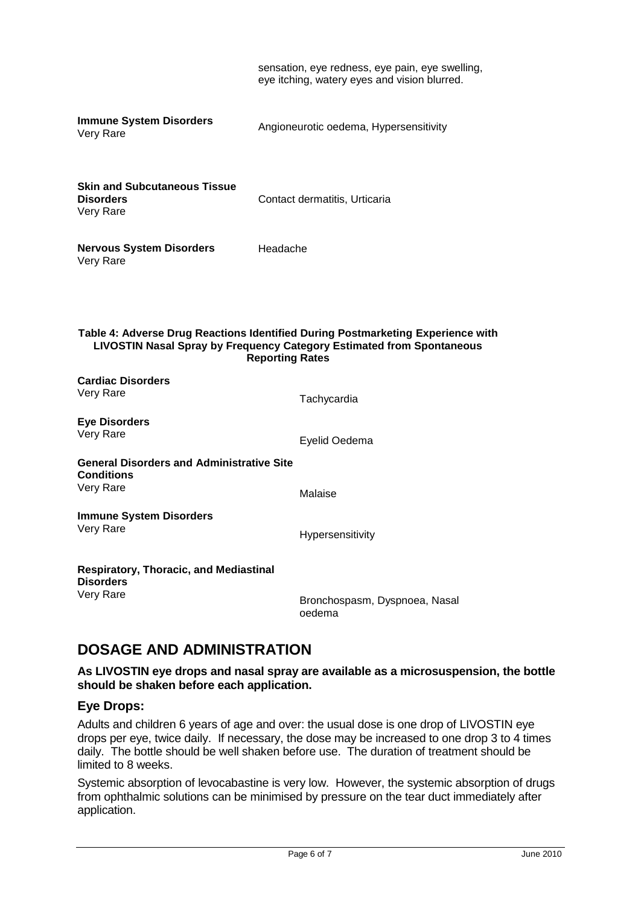sensation, eye redness, eye pain, eye swelling, eye itching, watery eyes and vision blurred. **Immune System Disorders** Immune System Disorders<br>Very Rare<br>Very Rare **Skin and Subcutaneous Tissue Disorders** Very Rare **Nervous System Disorders** Very Rare Contact dermatitis, Urticaria Headache **Table 4: Adverse Drug Reactions Identified During Postmarketing Experience with LIVOSTIN Nasal Spray by Frequency Category Estimated from Spontaneous Reporting Rates Cardiac Disorders** Very Rare Tachycardia **Eye Disorders** Very Rare **Exercise Exercise Serverse Exercise Contracts** Evelid Oedema **General Disorders and Administrative Site Conditions** Very Rare Malaise **Immune System Disorders** Very Rare **Hypersensitivity Respiratory, Thoracic, and Mediastinal Disorders** Very Rare **Bronchospasm, Dyspnoea, Nasal** oedema

## **DOSAGE AND ADMINISTRATION**

**As LIVOSTIN eye drops and nasal spray are available as a microsuspension, the bottle should be shaken before each application.**

## **Eye Drops:**

Adults and children 6 years of age and over: the usual dose is one drop of LIVOSTIN eye drops per eye, twice daily. If necessary, the dose may be increased to one drop 3 to 4 times daily. The bottle should be well shaken before use. The duration of treatment should be limited to 8 weeks.

Systemic absorption of levocabastine is very low. However, the systemic absorption of drugs from ophthalmic solutions can be minimised by pressure on the tear duct immediately after application.